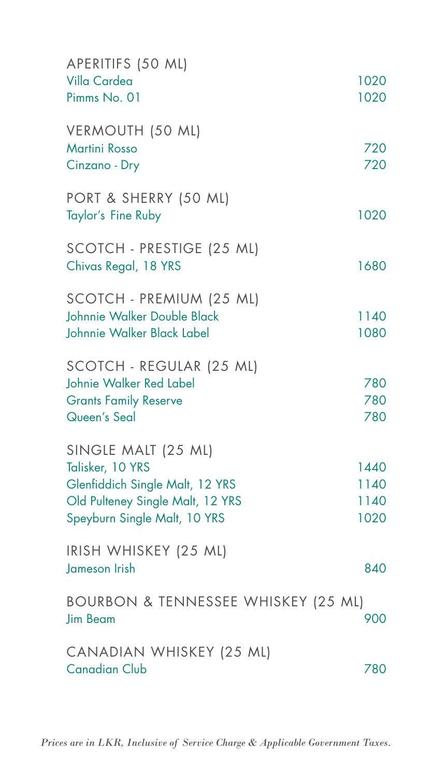| APERITIFS (50 ML)<br>Villa Cardea<br>Pimms No. 01                                                                                              | 1020<br>1020                 |
|------------------------------------------------------------------------------------------------------------------------------------------------|------------------------------|
| VERMOUTH (50 ML)<br><b>Martini Rosso</b><br>Cinzano - Dry                                                                                      | 720<br>720                   |
| PORT & SHERRY (50 ML)<br>Taylor's Fine Ruby                                                                                                    | 1020                         |
| SCOTCH - PRESTIGE (25 ML)<br>Chivas Regal, 18 YRS                                                                                              | 1680                         |
| SCOTCH - PREMIUM (25 ML)<br>Johnnie Walker Double Black<br>Johnnie Walker Black Label                                                          | 1140<br>1080                 |
| SCOTCH - REGULAR (25 ML)<br>Johnie Walker Red Label<br><b>Grants Family Reserve</b><br>Queen's Seal                                            | 780<br>780<br>780            |
| SINGLE MALT (25 ML)<br>Talisker, 10 YRS<br>Glenfiddich Single Malt, 12 YRS<br>Old Pulteney Single Malt, 12 YRS<br>Speyburn Single Malt, 10 YRS | 1440<br>1140<br>1140<br>1020 |
| IRISH WHISKEY (25 ML)<br>Jameson Irish                                                                                                         | 840                          |
| BOURBON & TENNESSEE WHISKEY (25 ML)<br><b>Jim Beam</b>                                                                                         | 900                          |
| CANADIAN WHISKEY (25 ML)<br><b>Canadian Club</b>                                                                                               | 780                          |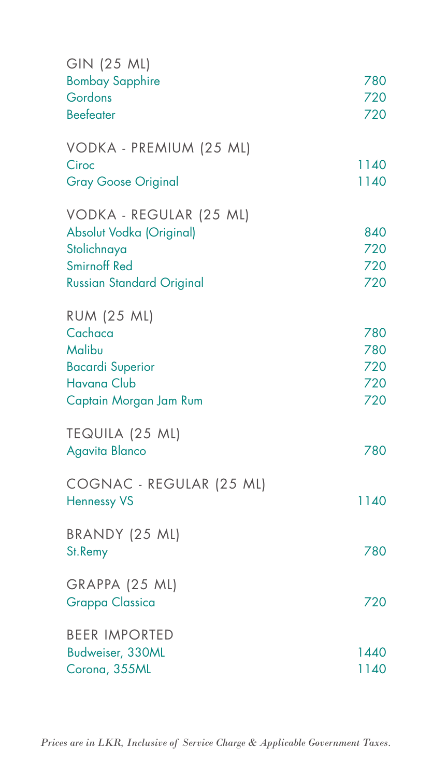| GIN (25 ML)                              |      |
|------------------------------------------|------|
| <b>Bombay Sapphire</b>                   | 780  |
| Gordons                                  | 720  |
| <b>Beefeater</b>                         | 720  |
| VODKA - PREMIUM (25 ML)                  |      |
| Ciroc                                    | 1140 |
| <b>Gray Goose Original</b>               | 1140 |
| VODKA - REGULAR (25 ML)                  |      |
| Absolut Vodka (Original)                 | 840  |
| Stolichnaya                              | 720  |
| <b>Smirnoff Red</b>                      | 720  |
| <b>Russian Standard Original</b>         | 720  |
| <b>RUM (25 ML)</b>                       |      |
| Cachaca                                  | 780  |
| Malibu                                   | 780  |
| <b>Bacardi Superior</b>                  | 720  |
| <b>Havana Club</b>                       | 720  |
| Captain Morgan Jam Rum                   | 720  |
| TEQUILA (25 ML)                          |      |
| <b>Agavita Blanco</b>                    | 780  |
| COGNAC - REGULAR (25 ML)                 |      |
| <b>Hennessy VS</b>                       | 1140 |
| BRANDY (25 ML)                           |      |
| St.Remy                                  | 780  |
|                                          |      |
| GRAPPA (25 ML)<br><b>Grappa Classica</b> | 720  |
|                                          |      |
| <b>BEER IMPORTED</b>                     |      |
| Budweiser, 330ML                         | 1440 |
| Corona, 355ML                            | 1140 |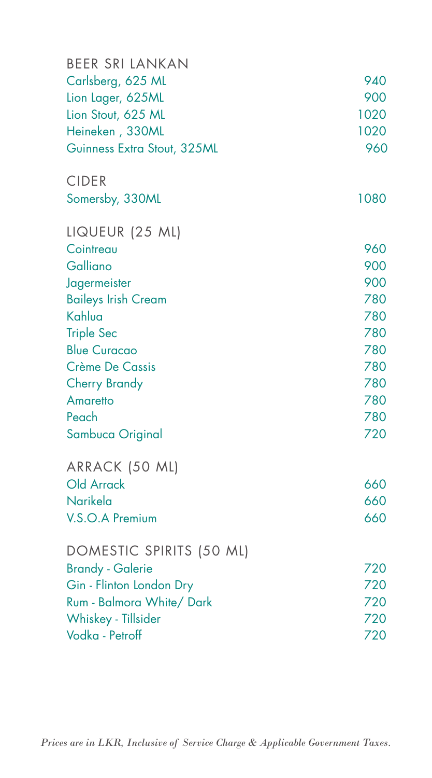| <b>BEER SRI LANKAN</b>                   |            |
|------------------------------------------|------------|
| Carlsberg, 625 ML                        | 940        |
| Lion Lager, 625ML                        | 900        |
| Lion Stout, 625 ML                       | 1020       |
| Heineken, 330ML                          | 1020       |
| Guinness Extra Stout, 325ML              | 960        |
| <b>CIDER</b>                             |            |
| Somersby, 330ML                          | 1080       |
| LIQUEUR (25 ML)                          |            |
| Cointreau                                | 960        |
| Galliano                                 | 900        |
| Jagermeister                             | 900        |
| <b>Baileys Irish Cream</b>               | 780        |
| Kahlua                                   | 780<br>780 |
| <b>Triple Sec</b><br><b>Blue Curacao</b> | 780        |
| Crème De Cassis                          | 780        |
| <b>Cherry Brandy</b>                     | 780        |
| Amaretto                                 | 780        |
| Peach                                    | 780        |
| Sambuca Original                         | 720        |
| ARRACK (50 ML)                           |            |
| Old Arrack                               | 660        |
| Narikela                                 | 660        |
| V.S.O.A Premium                          | 660        |
| DOMESTIC SPIRITS (50 ML)                 |            |
| <b>Brandy - Galerie</b>                  | 720        |
| Gin - Flinton London Dry                 | 720        |
| Rum - Balmora White/ Dark                | 720        |
| Whiskey - Tillsider                      | 720        |
| Vodka - Petroff                          | 720        |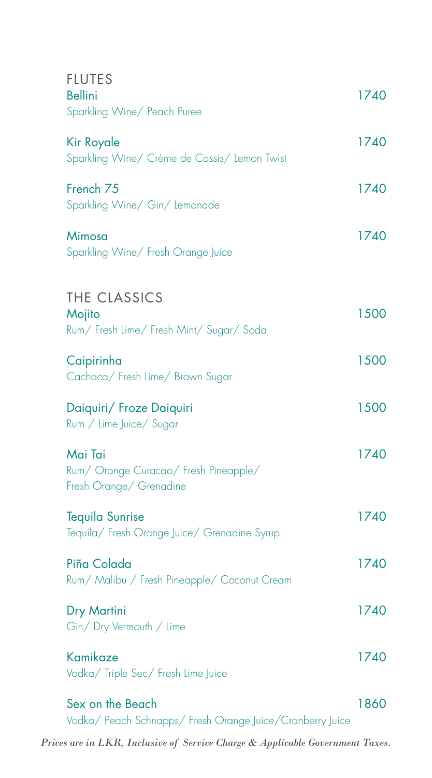| <b>FLUTES</b><br><b>Bellini</b><br>Sparkling Wine/ Peach Puree                | 1740 |
|-------------------------------------------------------------------------------|------|
| Kir Royale<br>Sparkling Wine/ Crème de Cassis/ Lemon Twist                    | 1740 |
| French <sub>75</sub><br>Sparkling Wine/ Gin/ Lemonade                         | 1740 |
| Mimosa<br>Sparkling Wine/ Fresh Orange Juice                                  | 1740 |
| THE CLASSICS<br>Mojito<br>Rum/ Fresh Lime/ Fresh Mint/ Sugar/ Soda            | 1500 |
| Caipirinha<br>Cachaca/ Fresh Lime/ Brown Sugar                                | 1500 |
| Daiquiri/ Froze Daiquiri<br>Rum / Lime Juice/ Sugar                           | 1500 |
| Mai Tai<br>Rum/ Orange Curacao/ Fresh Pineapple/<br>Fresh Orange/ Grenadine   | 1740 |
| <b>Tequila Sunrise</b><br>Tequila/ Fresh Orange Juice/ Grenadine Syrup        | 1740 |
| Piña Colada<br>Rum/ Malibu / Fresh Pineapple/ Coconut Cream                   | 1740 |
| Dry Martini<br>Gin/Dry Vermouth / Lime                                        | 1740 |
| Kamikaze<br>Vodka/ Triple Sec/ Fresh Lime Juice                               | 1740 |
| Sex on the Beach<br>Vodka/ Peach Schnapps/ Fresh Orange Juice/Cranberry Juice | 1860 |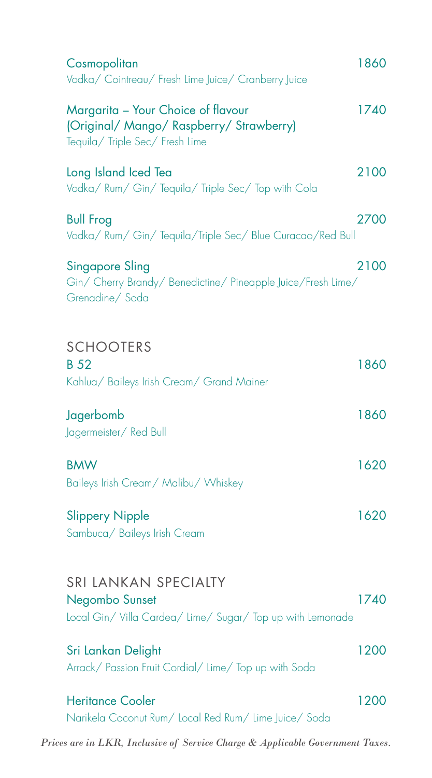| Cosmopolitan<br>Vodka/ Cointreau/ Fresh Lime Juice/ Cranberry Juice                                               | 1860 |
|-------------------------------------------------------------------------------------------------------------------|------|
| Margarita - Your Choice of flavour<br>(Original/ Mango/ Raspberry/ Strawberry)<br>Tequila/ Triple Sec/ Fresh Lime | 1740 |
| Long Island Iced Tea<br>Vodka/ Rum/ Gin/ Tequila/ Triple Sec/ Top with Cola                                       | 2100 |
| <b>Bull Frog</b><br>Vodka/ Rum/ Gin/ Tequila/Triple Sec/ Blue Curacao/Red Bull                                    | 2700 |
| <b>Singapore Sling</b><br>Gin/ Cherry Brandy/ Benedictine/ Pineapple Juice/Fresh Lime/<br>Grenadine/Soda          | 2100 |
| <b>SCHOOTERS</b><br><b>B</b> 52<br>Kahlua/ Baileys Irish Cream/ Grand Mainer                                      | 1860 |
| Jagerbomb<br>Jagermeister/ Red Bull                                                                               | 1860 |
| <b>BMW</b><br>Baileys Irish Cream/ Malibu/ Whiskey                                                                | 1620 |
| <b>Slippery Nipple</b><br>Sambuca/ Baileys Irish Cream                                                            | 1620 |
| <b>SRI LANKAN SPECIALTY</b><br>Negombo Sunset<br>Local Gin/Villa Cardea/Lime/Sugar/Top up with Lemonade           | 1740 |
| Sri Lankan Delight<br>Arrack/ Passion Fruit Cordial/ Lime/ Top up with Soda                                       | 1200 |
| <b>Heritance Cooler</b><br>Narikela Coconut Rum/ Local Red Rum/ Lime Juice/ Soda                                  | 1200 |
| Prices are in LKR, Inclusive of Service Charge & Applicable Government Taxes.                                     |      |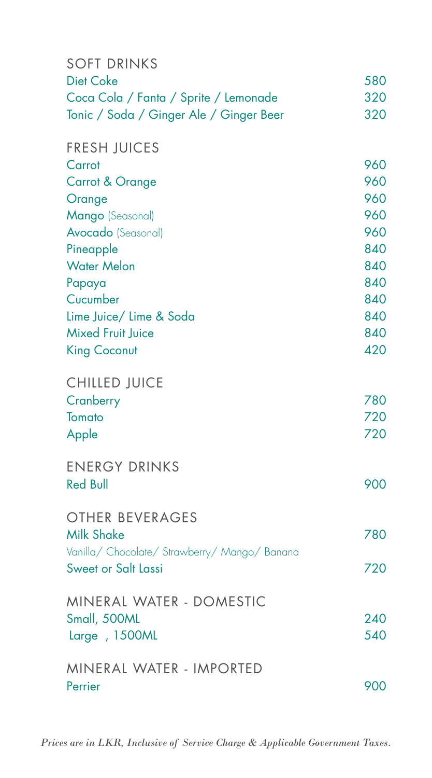| <b>SOFT DRINKS</b>                            |     |
|-----------------------------------------------|-----|
| <b>Diet Coke</b>                              | 580 |
| Coca Cola / Fanta / Sprite / Lemonade         | 320 |
| Tonic / Soda / Ginger Ale / Ginger Beer       | 320 |
| <b>FRESH JUICES</b>                           |     |
| Carrot                                        | 960 |
| Carrot & Orange                               | 960 |
| Orange                                        | 960 |
| Mango (Seasonal)                              | 960 |
| <b>Avocado</b> (Seasonal)                     | 960 |
| Pineapple                                     | 840 |
| <b>Water Melon</b>                            | 840 |
| Papaya                                        | 840 |
| Cucumber                                      | 840 |
| Lime Juice/ Lime & Soda                       | 840 |
| <b>Mixed Fruit Juice</b>                      | 840 |
| <b>King Coconut</b>                           | 420 |
| <b>CHILLED JUICE</b>                          |     |
| Cranberry                                     | 780 |
| Tomato                                        | 720 |
| Apple                                         | 720 |
| <b>ENERGY DRINKS</b>                          |     |
| <b>Red Bull</b>                               | 900 |
| <b>OTHER BEVERAGES</b>                        |     |
| <b>Milk Shake</b>                             | 780 |
| Vanilla/ Chocolate/ Strawberry/ Mango/ Banana |     |
| <b>Sweet or Salt Lassi</b>                    | 720 |
| MINERAL WATER - DOMESTIC                      |     |
| Small, 500ML                                  | 240 |
| Large , 1500ML                                | 540 |
| MINERAL WATER - IMPORTED                      |     |
| Perrier                                       | 900 |